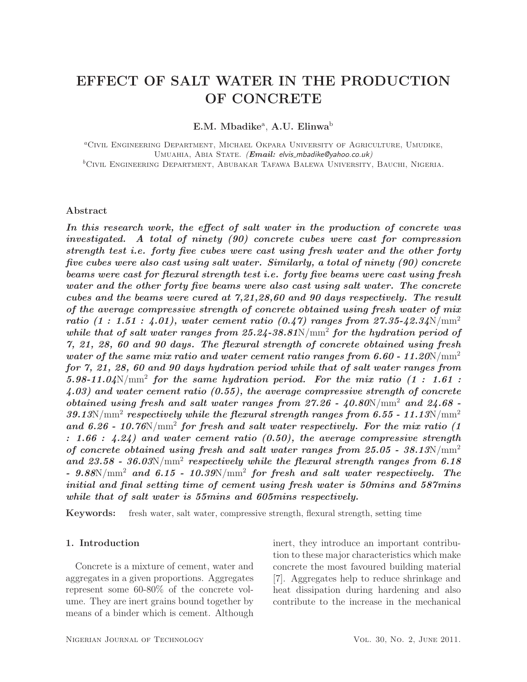# EFFECT OF SALT WATER IN THE PRODUCTION OF CONCRETE

E.M. Mbadike<sup>a</sup>, A.U. Elinwa<sup>b</sup>

<sup>a</sup>Civil Engineering Department, Michael Okpara University of Agriculture, Umudike, UMUAHIA, ABIA STATE. (*Email: elvis\_mbadike@yahoo.co.uk*)  ${}^{b}$ Civil Engineering Department, Abubakar Tafawa Balewa University, Bauchi, Nigeria.

## Abstract

*In this research work, the effect of salt water in the production of concrete was investigated. A total of ninety (90) concrete cubes were cast for compression strength test i.e. forty five cubes were cast using fresh water and the other forty five cubes were also cast using salt water. Similarly, a total of ninety (90) concrete beams were cast for flexural strength test i.e. forty five beams were cast using fresh water and the other forty five beams were also cast using salt water. The concrete cubes and the beams were cured at 7,21,28,60 and 90 days respectively. The result of the average compressive strength of concrete obtained using fresh water of mix ratio (1 : 1.51 : 4.01), water cement ratio (0.47) ranges from 27.35-42.34*N/mm<sup>2</sup> while that of salt water ranges from 25.24-38.81N/mm<sup>2</sup> for the hydration period of *7, 21, 28, 60 and 90 days. The flexural strength of concrete obtained using fresh water of the same mix ratio and water cement ratio ranges from 6.60 - 11.20*N/mm<sup>2</sup> *for 7, 21, 28, 60 and 90 days hydration period while that of salt water ranges from 5.98-11.04*N/mm<sup>2</sup> *for the same hydration period. For the mix ratio (1 : 1.61 : 4.03) and water cement ratio (0.55), the average compressive strength of concrete obtained using fresh and salt water ranges from 27.26 - 40.80*N/mm<sup>2</sup> *and 24.68 -*  $39.13$ N/mm<sup>2</sup> *respectively while the flexural strength ranges from 6.55 - 11.13*N/mm<sup>2</sup> and 6.26 - 10.76N/mm<sup>2</sup> for fresh and salt water respectively. For the mix ratio (1 *: 1.66 : 4.24) and water cement ratio (0.50), the average compressive strength of concrete obtained using fresh and salt water ranges from 25.05 - 38.13*N/mm<sup>2</sup> *and 23.58 - 36.03*N/mm<sup>2</sup> *respectively while the flexural strength ranges from 6.18 - 9.88*N/mm<sup>2</sup> *and 6.15 - 10.39*N/mm<sup>2</sup> *for fresh and salt water respectively. The initial and final setting time of cement using fresh water is 50mins and 587mins while that of salt water is 55mins and 605mins respectively.*

Keywords: fresh water, salt water, compressive strength, flexural strength, setting time

## 1. Introduction

Concrete is a mixture of cement, water and aggregates in a given proportions. Aggregates represent some 60-80% of the concrete volume. They are inert grains bound together by means of a binder which is cement. Although inert, they introduce an important contribution to these major characteristics which make concrete the most favoured building material [7]. Aggregates help to reduce shrinkage and heat dissipation during hardening and also contribute to the increase in the mechanical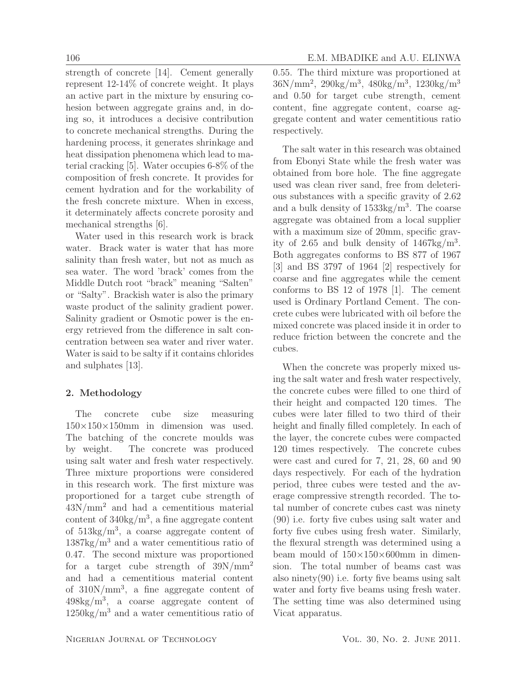strength of concrete [14]. Cement generally represent 12-14% of concrete weight. It plays an active part in the mixture by ensuring cohesion between aggregate grains and, in doing so, it introduces a decisive contribution to concrete mechanical strengths. During the hardening process, it generates shrinkage and heat dissipation phenomena which lead to material cracking [5]. Water occupies 6-8% of the composition of fresh concrete. It provides for cement hydration and for the workability of the fresh concrete mixture. When in excess, it determinately affects concrete porosity and mechanical strengths [6].

Water used in this research work is brack water. Brack water is water that has more salinity than fresh water, but not as much as sea water. The word 'brack' comes from the Middle Dutch root "brack" meaning "Salten" or "Salty". Brackish water is also the primary waste product of the salinity gradient power. Salinity gradient or Osmotic power is the energy retrieved from the difference in salt concentration between sea water and river water. Water is said to be salty if it contains chlorides and sulphates [13].

## 2. Methodology

The concrete cube size measuring  $150\times150\times150$ mm in dimension was used. The batching of the concrete moulds was by weight. The concrete was produced using salt water and fresh water respectively. Three mixture proportions were considered in this research work. The first mixture was proportioned for a target cube strength of  $43N/mm^2$  and had a cementitious material content of 340kg/m<sup>3</sup> , a fine aggregate content of 513kg/m<sup>3</sup> , a coarse aggregate content of  $1387\text{kg/m}^3$  and a water cementitious ratio of 0.47. The second mixture was proportioned for a target cube strength of  $39N/mm^2$ and had a cementitious material content of 310N/mm<sup>3</sup> , a fine aggregate content of 498kg/m<sup>3</sup> , a coarse aggregate content of  $1250\text{kg/m}^3$  and a water cementitious ratio of 0.55. The third mixture was proportioned at  $36N/mm^2$ ,  $290kg/m^3$ ,  $480kg/m^3$ ,  $1230kg/m^3$ and 0.50 for target cube strength, cement content, fine aggregate content, coarse aggregate content and water cementitious ratio respectively.

The salt water in this research was obtained from Ebonyi State while the fresh water was obtained from bore hole. The fine aggregate used was clean river sand, free from deleterious substances with a specific gravity of 2.62 and a bulk density of  $1533\text{kg/m}^3$ . The coarse aggregate was obtained from a local supplier with a maximum size of 20mm, specific gravity of  $2.65$  and bulk density of  $1467 \text{kg/m}^3$ . Both aggregates conforms to BS 877 of 1967 [3] and BS 3797 of 1964 [2] respectively for coarse and fine aggregates while the cement conforms to BS 12 of 1978 [1]. The cement used is Ordinary Portland Cement. The concrete cubes were lubricated with oil before the mixed concrete was placed inside it in order to reduce friction between the concrete and the cubes.

When the concrete was properly mixed using the salt water and fresh water respectively, the concrete cubes were filled to one third of their height and compacted 120 times. The cubes were later filled to two third of their height and finally filled completely. In each of the layer, the concrete cubes were compacted 120 times respectively. The concrete cubes were cast and cured for 7, 21, 28, 60 and 90 days respectively. For each of the hydration period, three cubes were tested and the average compressive strength recorded. The total number of concrete cubes cast was ninety (90) i.e. forty five cubes using salt water and forty five cubes using fresh water. Similarly, the flexural strength was determined using a beam mould of  $150\times150\times600$  mm in dimension. The total number of beams cast was also ninety $(90)$  i.e. forty five beams using salt water and forty five beams using fresh water. The setting time was also determined using Vicat apparatus.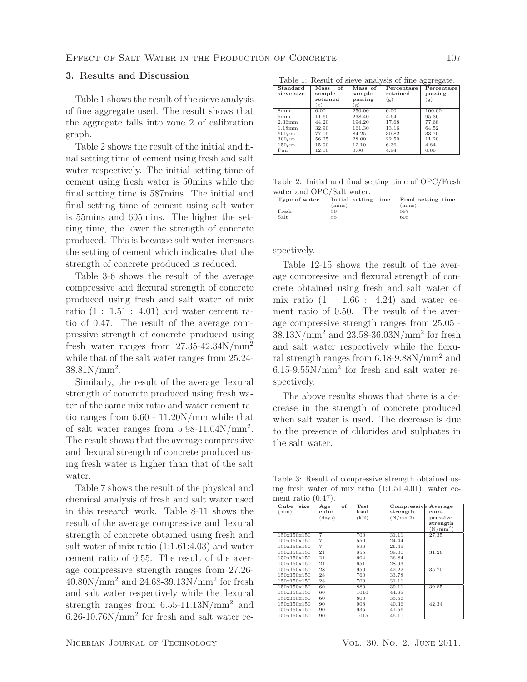## 3. Results and Discussion

Table 1 shows the result of the sieve analysis of fine aggregate used. The result shows that the aggregate falls into zone 2 of calibration graph.

Table 2 shows the result of the initial and final setting time of cement using fresh and salt water respectively. The initial setting time of cement using fresh water is 50mins while the final setting time is 587mins. The initial and final setting time of cement using salt water is 55mins and 605mins. The higher the setting time, the lower the strength of concrete produced. This is because salt water increases the setting of cement which indicates that the strength of concrete produced is reduced.

Table 3-6 shows the result of the average compressive and flexural strength of concrete produced using fresh and salt water of mix ratio  $(1: 1.51: 4.01)$  and water cement ratio of 0.47. The result of the average compressive strength of concrete produced using fresh water ranges from 27.35-42.34N/mm<sup>2</sup> while that of the salt water ranges from 25.24-  $38.81N/mm^2$ .

Similarly, the result of the average flexural strength of concrete produced using fresh water of the same mix ratio and water cement ratio ranges from 6.60 - 11.20N/mm while that of salt water ranges from  $5.98-11.04$ N/mm<sup>2</sup>. The result shows that the average compressive and flexural strength of concrete produced using fresh water is higher than that of the salt water.

Table 7 shows the result of the physical and chemical analysis of fresh and salt water used in this research work. Table 8-11 shows the result of the average compressive and flexural strength of concrete obtained using fresh and salt water of mix ratio (1:1.61:4.03) and water cement ratio of 0.55. The result of the average compressive strength ranges from 27.26-  $40.80N/mm^2$  and  $24.68 - 39.13N/mm^2$  for fresh and salt water respectively while the flexural strength ranges from 6.55-11.13N/mm<sup>2</sup> and 6.26-10.76N/mm<sup>2</sup> for fresh and salt water re-

Table 1: Result of sieve analysis of fine aggregate.

| Standard    | of<br>Mass | $\n  Mass of\n$ | Percentage | Percentage |
|-------------|------------|-----------------|------------|------------|
| sieve size  | sample     | sample          | retained   | passing    |
|             | retained   | passing         | (g)        | (g)        |
|             | (g)        | (g)             |            |            |
| 8mm         | 0.00       | 250.00          | 0.00       | 100.00     |
| 5mm         | 11.60      | 238.40          | 4.64       | 95.36      |
| 2.36mm      | 44.20      | 194.20          | 17.68      | 77.68      |
| 1.18mm      | 32.90      | 161.30          | 13.16      | 64.52      |
| $600 \mu m$ | 77.05      | 84.25           | 30.82      | 33.70      |
| $300 \mu m$ | 56.25      | 28.00           | 22.50      | 11.20      |
| $150 \mu m$ | 15.90      | 12.10           | 6.36       | 4.84       |
| Pan         | 12.10      | 0.00            | 4.84       | 0.00       |

Table 2: Initial and final setting time of OPC/Fresh water and OPC/Salt water.

| Type of water | Initial setting time<br>(mins) | Final setting time<br>(mins) |
|---------------|--------------------------------|------------------------------|
| Fresh         | 50                             | 587                          |
| Salt          | 55                             | 605                          |
|               |                                |                              |

spectively.

Table 12-15 shows the result of the average compressive and flexural strength of concrete obtained using fresh and salt water of mix ratio  $(1 : 1.66 : 4.24)$  and water cement ratio of 0.50. The result of the average compressive strength ranges from 25.05 - 38.13N/mm<sup>2</sup> and 23.58-36.03N/mm<sup>2</sup> for fresh and salt water respectively while the flexural strength ranges from 6.18-9.88N/mm<sup>2</sup> and  $6.15$ -9.55N/mm<sup>2</sup> for fresh and salt water respectively.

The above results shows that there is a decrease in the strength of concrete produced when salt water is used. The decrease is due to the presence of chlorides and sulphates in the salt water.

Table 3: Result of compressive strength obtained using fresh water of mix ratio (1:1.51:4.01), water cement ratio  $(0.47)$ .

| Cube<br>size | of<br>Age | Test | Compressive Average |            |
|--------------|-----------|------|---------------------|------------|
| (mm)         | cube      | load | strength            | com-       |
|              | (days)    | (kN) | (N/mm 2)            | pressive   |
|              |           |      |                     | strength   |
|              |           |      |                     | $(N/mm^2)$ |
| 150x150x150  | 7         | 700  | 31.11               | 27.35      |
| 150x150x150  | 7         | 550  | 24.44               |            |
| 150x150x150  | 7         | 596  | 26.49               |            |
| 150x150x150  | 21        | 855  | 38.00               | 31.26      |
| 150x150x150  | 21        | 604  | 26.84               |            |
| 150x150x150  | 21        | 651  | 28.93               |            |
| 150x150x150  | 28        | 950  | 42.22               | 35.70      |
| 150x150x150  | 28        | 760  | 33.78               |            |
| 150x150x150  | 28        | 700  | 31.11               |            |
| 150x150x150  | 60        | 880  | 39.11               | 39.85      |
| 150x150x150  | 60        | 1010 | 44.88               |            |
| 150x150x150  | 60        | 800  | 35.56               |            |
| 150x150x150  | 90        | 908  | 40.36               | 42.34      |
| 150x150x150  | 90        | 935  | 41.56               |            |
| 150x150x150  | 90        | 1015 | 45.11               |            |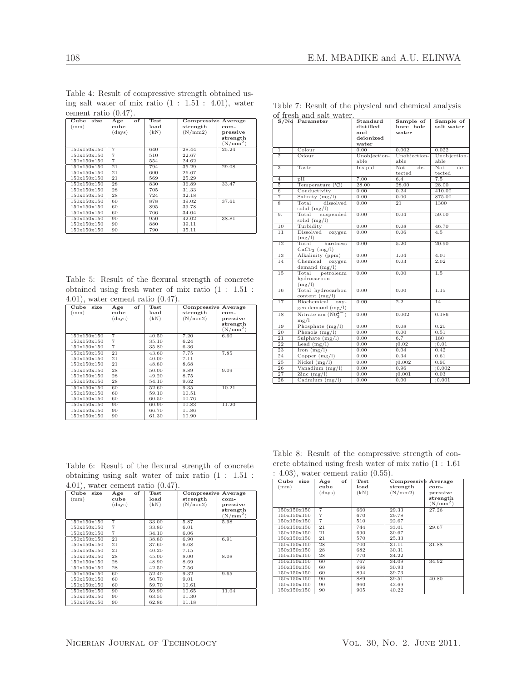|                         |                |             |                     | $\cdots$   |
|-------------------------|----------------|-------------|---------------------|------------|
| cement ratio $(0.47)$ . |                |             |                     |            |
| $C$ ube<br>size         | of<br>Age      | <b>Test</b> | Compressive Average |            |
| (mm)                    | cube           | load        | strength            | com-       |
|                         | (days)         | (kN)        | (N/mm 2)            | pressive   |
|                         |                |             |                     | strength   |
|                         |                |             |                     | $(N/mm^2)$ |
| 150x150x150             | $\overline{7}$ | 640         | 28.44               | 25.24      |
| 150x150x150             | $\overline{7}$ | 510         | 22.67               |            |
| 150x150x150             | $\overline{7}$ | 554         | 24.62               |            |
| 150x150x150             | 21             | 794         | 35.29               | 29.08      |
| 150x150x150             | 21             | 600         | 26.67               |            |
| 150x150x150             | 21             | 569         | 25.29               |            |
| 150x150x150             | 28             | 830         | 36.89               | 33.47      |
| 150x150x150             | 28             | 705         | 31.33               |            |
| 150x150x150             | 28             | 724         | 32.18               |            |
| 150x150x150             | 60             | 878         | 39.02               | 37.61      |
| 150x150x150             | 60             | 895         | 39.78               |            |
| 150x150x150             | 60             | 766         | 34.04               |            |
| 150x150x150             | 90             | 950         | 42.02               | 38.81      |
| 150x150x150             | 90             | 880         | 39.11               |            |
| 150x150x150             | 90             | 790         | 35.11               |            |

Table 4: Result of compressive strength obtained using salt water of mix ratio (1 : 1.51 : 4.01), water

| Table 5: Result of the flexural strength of concrete |  |  |  |  |  |  |
|------------------------------------------------------|--|--|--|--|--|--|
| obtained using fresh water of mix ratio $(1: 1.51:$  |  |  |  |  |  |  |
| $(4.01)$ , water cement ratio $(0.47)$ .             |  |  |  |  |  |  |

| Cube<br>size | of<br>Age      | Test  | Compressive | Average    |
|--------------|----------------|-------|-------------|------------|
| (mm)         | cube           | load  | strength    | com-       |
|              | (days)         | (kN)  | (N/mm 2)    | pressive   |
|              |                |       |             | strength   |
|              |                |       |             | $(N/mm^2)$ |
| 150x150x150  | $\overline{7}$ | 40.50 | 7.20        | 6.60       |
| 150x150x150  | $\overline{7}$ | 35.10 | 6.24        |            |
| 150x150x150  | $\overline{7}$ | 35.80 | 6.36        |            |
| 150x150x150  | 21             | 43.60 | 7.75        | 7.85       |
| 150x150x150  | 21             | 40.00 | 7.11        |            |
| 150x150x150  | 21             | 48.80 | 8.68        |            |
| 150x150x150  | 28             | 50.00 | 8.89        | 9.09       |
| 150x150x150  | 28             | 49.20 | 8.75        |            |
| 150x150x150  | 28             | 54.10 | 9.62        |            |
| 150x150x150  | 60             | 52.60 | 9.35        | 10.21      |
| 150x150x150  | 60             | 59.10 | 10.51       |            |
| 150x150x150  | 60             | 60.50 | 10.76       |            |
| 150x150x150  | 90             | 60.90 | 10.83       | 11.20      |
| 150x150x150  | 90             | 66.70 | 11.86       |            |
| 150x150x150  | 90             | 61.30 | 10.90       |            |

Table 7: Result of the physical and chemical analysis of fresh and salt water.

|                           | S/No Parameter                      | $\operatorname{\mathsf{Standard}}$ | Sample of              | Sample of              |
|---------------------------|-------------------------------------|------------------------------------|------------------------|------------------------|
|                           |                                     | distilled                          | bore hole              | salt water             |
|                           |                                     | and                                | water                  |                        |
|                           |                                     | deionized                          |                        |                        |
|                           |                                     | water                              | 0.002                  |                        |
| $\overline{1}$            | Colour                              | 0.00                               |                        | 0.022                  |
| $\overline{2}$            | Odour                               | Unobjection-                       | Unobjection-<br>able   | Unobjection-<br>able   |
|                           |                                     | able                               |                        |                        |
| $\overline{\overline{3}}$ | Taste                               | Insipid                            | Not<br>$de-$<br>tected | Not<br>$de-$<br>tected |
| $\overline{4}$            | $\overline{pH}$                     | 7.00                               | 6.4                    | 7.5                    |
| 5                         | Temperature (°C)                    | 28.00                              | 28.00                  | 28.00                  |
| $\overline{6}$            | Conductivity                        | 0.00                               | 0.24                   | 410.00                 |
| 7                         | Salinity (mg/l)                     | 0.00                               | 0.00                   | 875.00                 |
| $\overline{8}$            | Total<br>dissolved                  | 0.00                               | 21                     | 1300                   |
|                           | solid $(mg/l)$                      |                                    |                        |                        |
| 9.                        | suspended<br>Total                  | 0.00                               | 0.04                   | 59.00                  |
|                           | solid $(mg/l)$                      |                                    |                        |                        |
| 10                        | Turbidity                           | 0.00                               | 0.08                   | 46.70                  |
| 11                        | Dissolved<br>oxygen                 | 0.00                               | 0.06                   | 4.5                    |
|                           | (mg/l)                              |                                    |                        |                        |
| 12                        | Total<br>hardness<br>$CaCO3$ (mg/l) | 0.00                               | 5.20                   | 20.90                  |
| 13                        | Alkalinity (ppm)                    | 0.00                               | 1.04                   | 4.01                   |
| $\overline{14}$           | Chemical oxygen                     | 0.00                               | 0.03                   | 2.02                   |
|                           | demand $(mg/l)$                     |                                    |                        |                        |
| $\overline{15}$           | petroleum<br>Total                  | 0.00                               | 0.00                   | 1.5                    |
|                           | hydrocarbon                         |                                    |                        |                        |
|                           | (mg/l)                              |                                    |                        |                        |
| 16                        | Total hydrocarbon                   | 0.00                               | 0.00                   | 1.15                   |
|                           | content $(mg/l)$                    |                                    |                        |                        |
| 17                        | Biochemical<br>$OXY-$               | 0.00                               | 2.2                    | 14                     |
|                           | gen demand (mg/l)                   |                                    |                        |                        |
| 18                        | Nitrate ion $(N0_3^{2-})$           | 0.00                               | 0.002                  | 0.186                  |
|                           | mg/l                                |                                    |                        |                        |
| 19                        | Phosphate $(mg/l)$                  | 0.00                               | 0.08                   | 0.20                   |
| $\overline{20}$           | Phenols $(mg/l)$                    | 0.00                               | 0.00                   | 0.51                   |
| $\overline{21}$           | Sulphate $(mg/l)$                   | 0.00                               | 6.7                    | 180                    |
| $\overline{22}$           | Lead $(mg/l)$                       | 0.00                               | 10.02                  | 10.01                  |
| 23                        | Iron $(mg/l)$                       | 0.00                               | 0.04                   | 0.42                   |
| 24                        | Copper $(mg/l)$                     | 0.00                               | 0.34                   | 0.61                   |
| 25                        | Nickel $(mg/l)$                     | 0.00                               | 10.002                 | 0.90                   |
| $\overline{26}$           | Vanadium (mg/l)                     | 0.00                               | 0.96                   | 10.002                 |
| 27                        | $\text{Zinc}$ (mg/l)                | 0.00                               | 10.001                 | 0.03                   |
| $\overline{28}$           | Cadmium $(mg/l)$                    | 0.00                               | 0.00                   | 10.001                 |

| Table 6: Result of the flexural strength of concrete |  |  |  |  |  |
|------------------------------------------------------|--|--|--|--|--|
| obtaining using salt water of mix ratio $(1: 1.51:$  |  |  |  |  |  |
| $(0.47)$ , water cement ratio $(0.47)$ .             |  |  |  |  |  |

| Cube<br>size | $\overline{of}$<br>Age | Test  | <b>Compressive Average</b> |            |
|--------------|------------------------|-------|----------------------------|------------|
| (mm)         | cube                   | load  | strength                   | com-       |
|              | (days)                 | (kN)  | (N/mm 2)                   | pressive   |
|              |                        |       |                            | strength   |
|              |                        |       |                            | $(N/mm^2)$ |
| 150x150x150  | $\overline{7}$         | 33.00 | 5.87                       | 5.98       |
| 150x150x150  | 7                      | 33.80 | 6.01                       |            |
| 150x150x150  | $\overline{7}$         | 34.10 | 6.06                       |            |
| 150x150x150  | 21                     | 38.80 | 6.90                       | 6.91       |
| 150x150x150  | 21                     | 37.60 | 6.68                       |            |
| 150x150x150  | 21                     | 40.20 | 7.15                       |            |
| 150x150x150  | 28                     | 45.00 | 8.00                       | 8.08       |
| 150x150x150  | 28                     | 48.90 | 8.69                       |            |
| 150x150x150  | 28                     | 42.50 | 7.56                       |            |
| 150x150x150  | 60                     | 52.40 | 9.32                       | 9.65       |
| 150x150x150  | 60                     | 50.70 | 9.01                       |            |
| 150x150x150  | 60                     | 59.70 | 10.61                      |            |
| 150x150x150  | 90                     | 59.90 | 10.65                      | 11.04      |
| 150x150x150  | 90                     | 63.55 | 11.30                      |            |
| 150x150x150  | 90                     | 62.86 | 11.18                      |            |

Table 8: Result of the compressive strength of concrete obtained using fresh water of mix ratio (1 : 1.61 : 4.03), water cement ratio (0.55).

| $1000/1$ match compare rates (0.00). |           |      |                     |            |  |  |
|--------------------------------------|-----------|------|---------------------|------------|--|--|
| Cube<br>size                         | of<br>Age | Test | Compressive Average |            |  |  |
| (mm)                                 | cube      | load | strength            | com-       |  |  |
|                                      | (days)    | (kN) | (N/mm 2)            | pressive   |  |  |
|                                      |           |      |                     | strength   |  |  |
|                                      |           |      |                     | $(N/mm^2)$ |  |  |
| 150x150x150                          | 7         | 660  | 29.33               | 27.26      |  |  |
| 150x150x150                          | 7         | 670  | 29.78               |            |  |  |
| 150x150x150                          | 7         | 510  | 22.67               |            |  |  |
| 150x150x150                          | 21        | 744  | 33.01               | 29.67      |  |  |
| 150x150x150                          | 21        | 690  | 30.67               |            |  |  |
| 150x150x150                          | 21        | 570  | 25.33               |            |  |  |
| 150x150x150                          | 28        | 700  | 31.11               | 31.88      |  |  |
| 150x150x150                          | 28        | 682  | 30.31               |            |  |  |
| 150x150x150                          | 28        | 770  | 34.22               |            |  |  |
| 150x150x150                          | 60        | 767  | 34.09               | 34.92      |  |  |
| 150x150x150                          | 60        | 696  | 30.93               |            |  |  |
| 150x150x150                          | 60        | 894  | 39.73               |            |  |  |
| 150x150x150                          | 90        | 889  | 39.51               | 40.80      |  |  |
| 150x150x150                          | 90        | 960  | 42.69               |            |  |  |
| 150x150x150                          | 90        | 905  | 40.22               |            |  |  |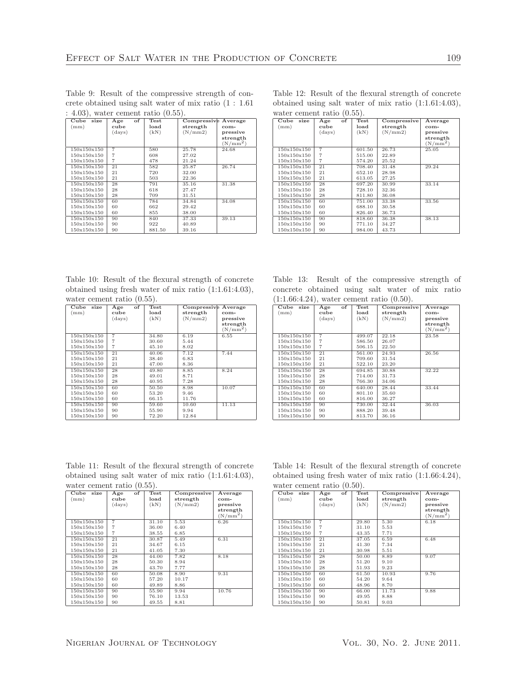Table 9: Result of the compressive strength of concrete obtained using salt water of mix ratio (1 : 1.61 : 4.03), water cement ratio (0.55).

| Cube<br>size | of<br>Age      | Test   | Compressive Average |            |
|--------------|----------------|--------|---------------------|------------|
| (mm)         | cube           | load   | strength            | com-       |
|              | (days)         | (kN)   | (N/mm 2)            | pressive   |
|              |                |        |                     | strength   |
|              |                |        |                     | $(N/mm^2)$ |
| 150x150x150  | $\overline{7}$ | 580    | 25.78               | 24.68      |
| 150x150x150  | 7              | 608    | 27.02               |            |
| 150x150x150  | 7              | 478    | 21.24               |            |
| 150x150x150  | 21             | 582    | 25.87               | 26.74      |
| 150x150x150  | 21             | 720    | 32.00               |            |
| 150x150x150  | 21             | 503    | 22.36               |            |
| 150x150x150  | 28             | 791    | 35.16               | 31.38      |
| 150x150x150  | 28             | 618    | 27.47               |            |
| 150x150x150  | 28             | 709    | 31.51               |            |
| 150x150x150  | 60             | 784    | 34.84               | 34.08      |
| 150x150x150  | 60             | 662    | 29.42               |            |
| 150x150x150  | 60             | 855    | 38.00               |            |
| 150x150x150  | 90             | 840    | 37.33               | 39.13      |
| 150x150x150  | 90             | 922    | 40.89               |            |
| 150x150x150  | 90             | 881.50 | 39.16               |            |

Table 12: Result of the flexural strength of concrete obtained using salt water of mix ratio (1:1.61:4.03), water cement ratio (0.55).

| Cube<br>size | of<br>Age | <b>Test</b> | Compressive | Average    |
|--------------|-----------|-------------|-------------|------------|
| (mm)         | cube      | load        | strength    | com-       |
|              | (days)    | (kN)        | (N/mm 2)    | pressive   |
|              |           |             |             | strength   |
|              |           |             |             | $(N/mm^2)$ |
| 150x150x150  | 7         | 601.50      | 26.73       | 25.05      |
| 150x150x150  | 7         | 515.00      | 22.89       |            |
| 150x150x150  | 7         | 574.20      | 25.52       |            |
| 150x150x150  | 21        | 708.40      | 31.48       | 29.24      |
| 150x150x150  | 21        | 652.10      | 28.98       |            |
| 150x150x150  | 21        | 613.05      | 27.25       |            |
| 150x150x150  | 28        | 697.20      | 30.99       | 33.14      |
| 150x150x150  | 28        | 728.10      | 32.36       |            |
| 150x150x150  | 28        | 811.80      | 36.08       |            |
| 150x150x150  | 60        | 751.00      | 33.38       | 33.56      |
| 150x150x150  | 60        | 688.10      | 30.58       |            |
| 150x150x150  | 60        | 826.40      | 36.73       |            |
| 150x150x150  | 90        | 818.60      | 36.38       | 38.13      |
| 150x150x150  | 90        | 771.10      | 34.27       |            |
| 150x150x150  | 90        | 984.00      | 43.73       |            |

Table 10: Result of the flexural strength of concrete obtained using fresh water of mix ratio (1:1.61:4.03), water cement ratio (0.55).

| Cube<br>size | of<br>Age | Test  | Compressive | Average    |
|--------------|-----------|-------|-------------|------------|
| (mm)         | cube      | load  | strength    | com-       |
|              | (days)    | (kN)  | (N/mm 2)    | pressive   |
|              |           |       |             | strength   |
|              |           |       |             | $(N/mm^2)$ |
| 150x150x150  | 7         | 34.80 | 6.19        | 6.55       |
| 150x150x150  | 7         | 30.60 | 5.44        |            |
| 150x150x150  | 7         | 45.10 | 8.02        |            |
| 150x150x150  | 21        | 40.06 | 7.12        | 7.44       |
| 150x150x150  | 21        | 38.40 | 6.83        |            |
| 150x150x150  | 21        | 47.00 | 8.36        |            |
| 150x150x150  | 28        | 49.80 | 8.85        | 8.24       |
| 150x150x150  | 28        | 49.01 | 8.71        |            |
| 150x150x150  | 28        | 40.95 | 7.28        |            |
| 150x150x150  | 60        | 50.50 | 8.98        | 10.07      |
| 150x150x150  | 60        | 53.20 | 9.46        |            |
| 150x150x150  | 60        | 66.15 | 11.76       |            |
| 150x150x150  | 90        | 59.60 | 10.60       | 11.13      |
| 150x150x150  | 90        | 55.90 | 9.94        |            |
| 150x150x150  | 90        | 72.20 | 12.84       |            |

Table 13: Result of the compressive strength of concrete obtained using salt water of mix ratio (1:1.66:4.24), water cement ratio (0.50).

| Cube<br>size | of<br>Age | Test   | Compressive | Average    |
|--------------|-----------|--------|-------------|------------|
| (mm)         | cube      | load   | strength    | $com-$     |
|              | (days)    | (kN)   | (N/mm 2)    | pressive   |
|              |           |        |             | strength   |
|              |           |        |             | $(N/mm^2)$ |
| 150x150x150  | 7         | 499.07 | 22.18       | 23.58      |
| 150x150x150  | 7         | 586.50 | 26.07       |            |
| 150x150x150  | 7         | 506.15 | 22.50       |            |
| 150x150x150  | 21        | 561.00 | 24.93       | 26.56      |
| 150x150x150  | 21        | 709.60 | 31.54       |            |
| 150x150x150  | 21        | 522.10 | 23.20       |            |
| 150x150x150  | 28        | 694.85 | 30.88       | 32.22      |
| 150x150x150  | 28        | 714.00 | 31.73       |            |
| 150x150x150  | 28        | 766.30 | 34.06       |            |
| 150x150x150  | 60        | 640.00 | 28.44       | 33.44      |
| 150x150x150  | 60        | 801.10 | 35.60       |            |
| 150x150x150  | 60        | 816.00 | 36.27       |            |
| 150x150x150  | 90        | 730.00 | 32.44       | 36.03      |
| 150x150x150  | 90        | 888.20 | 39.48       |            |
| 150x150x150  | 90        | 813.70 | 36.16       |            |

Table 11: Result of the flexural strength of concrete obtained using salt water of mix ratio (1:1.61:4.03), water cement ratio (0.55).

| $\sim$ $\sim$ $\sim$ $\sim$ $\sim$ $\sim$ $\sim$ $\sim$<br>$\sqrt{21}$ |           |       |             |            |
|------------------------------------------------------------------------|-----------|-------|-------------|------------|
| Cube<br>size                                                           | of<br>Age | Test  | Compressive | Average    |
| (mm)                                                                   | cube      | load  | strength    | com-       |
|                                                                        | (days)    | (kN)  | (N/mm 2)    | pressive   |
|                                                                        |           |       |             | strength   |
|                                                                        |           |       |             | $(N/mm^2)$ |
| 150x150x150                                                            | 7         | 31.10 | 5.53        | 6.26       |
| 150x150x150                                                            | 7         | 36.00 | 6.40        |            |
| 150x150x150                                                            | 7         | 38.55 | 6.85        |            |
| 150x150x150                                                            | 21        | 30.87 | 5.49        | 6.31       |
| 150x150x150                                                            | 21        | 34.67 | 6.15        |            |
| 150x150x150                                                            | 21        | 41.05 | 7.30        |            |
| 150x150x150                                                            | 28        | 44.00 | 7.82        | 8.18       |
| 150x150x150                                                            | 28        | 50.30 | 8.94        |            |
| 150x150x150                                                            | 28        | 43.70 | 7.77        |            |
| 150x150x150                                                            | 60        | 50.08 | 8.90        | 9.31       |
| 150x150x150                                                            | 60        | 57.20 | 10.17       |            |
| 150x150x150                                                            | 60        | 49.89 | 8.86        |            |
| 150x150x150                                                            | 90        | 55.90 | 9.94        | 10.76      |
| 150x150x150                                                            | 90        | 76.10 | 13.53       |            |
| 150x150x150                                                            | 90        | 49.55 | 8.81        |            |

Table 14: Result of the flexural strength of concrete obtained using fresh water of mix ratio (1:1.66:4.24), water cement ratio (0.50).

| Cube<br>size | of<br>Age | Test  | Compressive | Average    |  |
|--------------|-----------|-------|-------------|------------|--|
| (mm)         | cube      | load  | strength    | com-       |  |
|              | (days)    | (kN)  | (N/mm 2)    | pressive   |  |
|              |           |       |             | strength   |  |
|              |           |       |             | $(N/mm^2)$ |  |
| 150x150x150  | 7         | 29.80 | 5.30        | 6.18       |  |
| 150x150x150  | 7         | 31.10 | 5.53        |            |  |
| 150x150x150  | 7         | 43.35 | 7.71        |            |  |
| 150x150x150  | 21        | 37.05 | 6.59        | 6.48       |  |
| 150x150x150  | 21        | 41.30 | 7.34        |            |  |
| 150x150x150  | 21        | 30.98 | 5.51        |            |  |
| 150x150x150  | 28        | 50.00 | 8.89        | 9.07       |  |
| 150x150x150  | 28        | 51.20 | 9.10        |            |  |
| 150x150x150  | 28        | 51.93 | 9.23        |            |  |
| 150x150x150  | 60        | 61.50 | 10.93       | 9.76       |  |
| 150x150x150  | 60        | 54.20 | 9.64        |            |  |
| 150x150x150  | 60        | 48.96 | 8.70        |            |  |
| 150x150x150  | 90        | 66.00 | 11.73       | 9.88       |  |
| 150x150x150  | 90        | 49.95 | 8.88        |            |  |
| 150x150x150  | 90        | 50.81 | 9.03        |            |  |